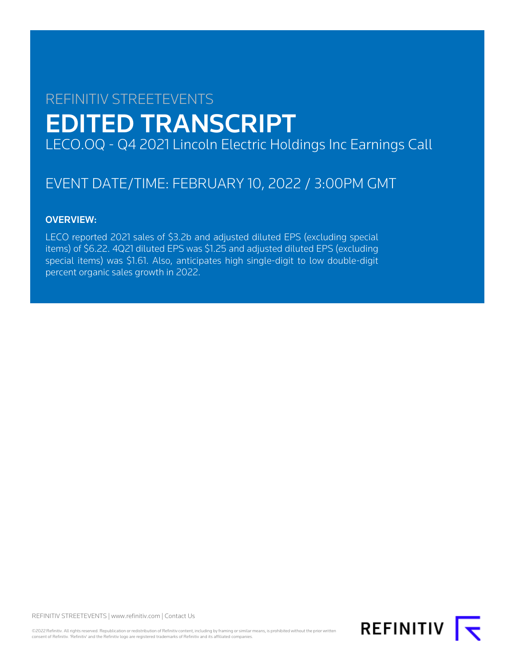# REFINITIV STREETEVENTS EDITED TRANSCRIPT LECO.OQ - Q4 2021 Lincoln Electric Holdings Inc Earnings Call

# EVENT DATE/TIME: FEBRUARY 10, 2022 / 3:00PM GMT

## OVERVIEW:

LECO reported 2021 sales of \$3.2b and adjusted diluted EPS (excluding special items) of \$6.22. 4Q21 diluted EPS was \$1.25 and adjusted diluted EPS (excluding special items) was \$1.61. Also, anticipates high single-digit to low double-digit percent organic sales growth in 2022.

REFINITIV STREETEVENTS | [www.refinitiv.com](https://www.refinitiv.com/) | [Contact Us](https://www.refinitiv.com/en/contact-us)

©2022 Refinitiv. All rights reserved. Republication or redistribution of Refinitiv content, including by framing or similar means, is prohibited without the prior written consent of Refinitiv. 'Refinitiv' and the Refinitiv logo are registered trademarks of Refinitiv and its affiliated companies.

REFINITIV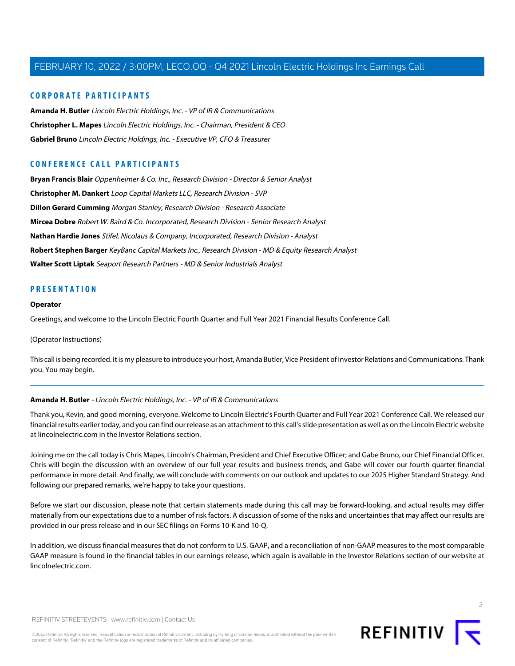## **CORPORATE PARTICIPANTS**

**[Amanda H. Butler](#page-1-0)** Lincoln Electric Holdings, Inc. - VP of IR & Communications **[Christopher L. Mapes](#page-2-0)** Lincoln Electric Holdings, Inc. - Chairman, President & CEO **[Gabriel Bruno](#page-3-0)** Lincoln Electric Holdings, Inc. - Executive VP, CFO & Treasurer

## **CONFERENCE CALL PARTICIPANTS**

**[Bryan Francis Blair](#page-5-0)** Oppenheimer & Co. Inc., Research Division - Director & Senior Analyst **[Christopher M. Dankert](#page-6-0)** Loop Capital Markets LLC, Research Division - SVP **[Dillon Gerard Cumming](#page-11-0)** Morgan Stanley, Research Division - Research Associate **[Mircea Dobre](#page-7-0)** Robert W. Baird & Co. Incorporated, Research Division - Senior Research Analyst **[Nathan Hardie Jones](#page-10-0)** Stifel, Nicolaus & Company, Incorporated, Research Division - Analyst **[Robert Stephen Barger](#page-8-0)** KeyBanc Capital Markets Inc., Research Division - MD & Equity Research Analyst **[Walter Scott Liptak](#page-12-0)** Seaport Research Partners - MD & Senior Industrials Analyst

## **PRESENTATION**

#### **Operator**

Greetings, and welcome to the Lincoln Electric Fourth Quarter and Full Year 2021 Financial Results Conference Call.

(Operator Instructions)

<span id="page-1-0"></span>This call is being recorded. It is my pleasure to introduce your host, Amanda Butler, Vice President of Investor Relations and Communications. Thank you. You may begin.

## **Amanda H. Butler** - Lincoln Electric Holdings, Inc. - VP of IR & Communications

Thank you, Kevin, and good morning, everyone. Welcome to Lincoln Electric's Fourth Quarter and Full Year 2021 Conference Call. We released our financial results earlier today, and you can find our release as an attachment to this call's slide presentation as well as on the Lincoln Electric website at lincolnelectric.com in the Investor Relations section.

Joining me on the call today is Chris Mapes, Lincoln's Chairman, President and Chief Executive Officer; and Gabe Bruno, our Chief Financial Officer. Chris will begin the discussion with an overview of our full year results and business trends, and Gabe will cover our fourth quarter financial performance in more detail. And finally, we will conclude with comments on our outlook and updates to our 2025 Higher Standard Strategy. And following our prepared remarks, we're happy to take your questions.

Before we start our discussion, please note that certain statements made during this call may be forward-looking, and actual results may differ materially from our expectations due to a number of risk factors. A discussion of some of the risks and uncertainties that may affect our results are provided in our press release and in our SEC filings on Forms 10-K and 10-Q.

In addition, we discuss financial measures that do not conform to U.S. GAAP, and a reconciliation of non-GAAP measures to the most comparable GAAP measure is found in the financial tables in our earnings release, which again is available in the Investor Relations section of our website at lincolnelectric.com



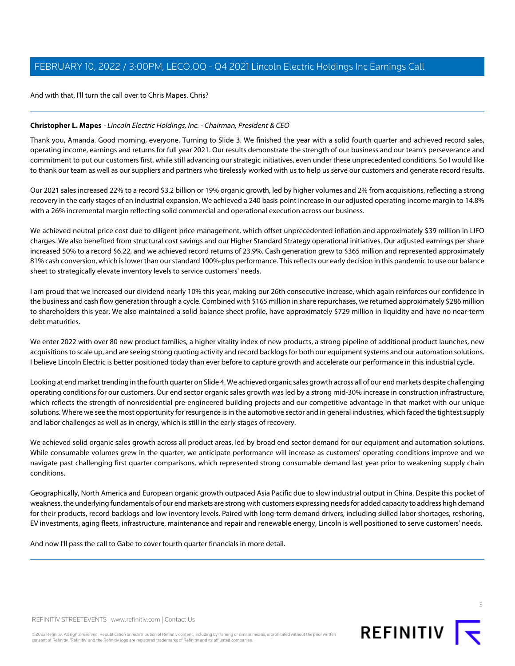And with that, I'll turn the call over to Chris Mapes. Chris?

## <span id="page-2-0"></span>**Christopher L. Mapes** - Lincoln Electric Holdings, Inc. - Chairman, President & CEO

Thank you, Amanda. Good morning, everyone. Turning to Slide 3. We finished the year with a solid fourth quarter and achieved record sales, operating income, earnings and returns for full year 2021. Our results demonstrate the strength of our business and our team's perseverance and commitment to put our customers first, while still advancing our strategic initiatives, even under these unprecedented conditions. So I would like to thank our team as well as our suppliers and partners who tirelessly worked with us to help us serve our customers and generate record results.

Our 2021 sales increased 22% to a record \$3.2 billion or 19% organic growth, led by higher volumes and 2% from acquisitions, reflecting a strong recovery in the early stages of an industrial expansion. We achieved a 240 basis point increase in our adjusted operating income margin to 14.8% with a 26% incremental margin reflecting solid commercial and operational execution across our business.

We achieved neutral price cost due to diligent price management, which offset unprecedented inflation and approximately \$39 million in LIFO charges. We also benefited from structural cost savings and our Higher Standard Strategy operational initiatives. Our adjusted earnings per share increased 50% to a record \$6.22, and we achieved record returns of 23.9%. Cash generation grew to \$365 million and represented approximately 81% cash conversion, which is lower than our standard 100%-plus performance. This reflects our early decision in this pandemic to use our balance sheet to strategically elevate inventory levels to service customers' needs.

I am proud that we increased our dividend nearly 10% this year, making our 26th consecutive increase, which again reinforces our confidence in the business and cash flow generation through a cycle. Combined with \$165 million in share repurchases, we returned approximately \$286 million to shareholders this year. We also maintained a solid balance sheet profile, have approximately \$729 million in liquidity and have no near-term debt maturities.

We enter 2022 with over 80 new product families, a higher vitality index of new products, a strong pipeline of additional product launches, new acquisitions to scale up, and are seeing strong quoting activity and record backlogs for both our equipment systems and our automation solutions. I believe Lincoln Electric is better positioned today than ever before to capture growth and accelerate our performance in this industrial cycle.

Looking at end market trending in the fourth quarter on Slide 4. We achieved organic sales growth across all of our end markets despite challenging operating conditions for our customers. Our end sector organic sales growth was led by a strong mid-30% increase in construction infrastructure, which reflects the strength of nonresidential pre-engineered building projects and our competitive advantage in that market with our unique solutions. Where we see the most opportunity for resurgence is in the automotive sector and in general industries, which faced the tightest supply and labor challenges as well as in energy, which is still in the early stages of recovery.

We achieved solid organic sales growth across all product areas, led by broad end sector demand for our equipment and automation solutions. While consumable volumes grew in the quarter, we anticipate performance will increase as customers' operating conditions improve and we navigate past challenging first quarter comparisons, which represented strong consumable demand last year prior to weakening supply chain conditions.

Geographically, North America and European organic growth outpaced Asia Pacific due to slow industrial output in China. Despite this pocket of weakness, the underlying fundamentals of our end markets are strong with customers expressing needs for added capacity to address high demand for their products, record backlogs and low inventory levels. Paired with long-term demand drivers, including skilled labor shortages, reshoring, EV investments, aging fleets, infrastructure, maintenance and repair and renewable energy, Lincoln is well positioned to serve customers' needs.

And now I'll pass the call to Gabe to cover fourth quarter financials in more detail.



©2022 Refinitiv. All rights reserved. Republication or redistribution of Refinitiv content, including by framing or similar means, is prohibited without the prior written consent of Refinitiv. 'Refinitiv' and the Refinitiv logo are registered trademarks of Refinitiv and its affiliated companies.

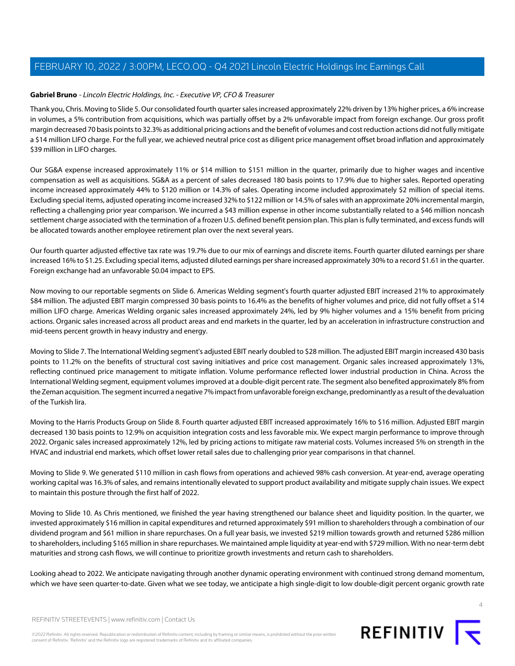## <span id="page-3-0"></span>**Gabriel Bruno** - Lincoln Electric Holdings, Inc. - Executive VP, CFO & Treasurer

Thank you, Chris. Moving to Slide 5. Our consolidated fourth quarter sales increased approximately 22% driven by 13% higher prices, a 6% increase in volumes, a 5% contribution from acquisitions, which was partially offset by a 2% unfavorable impact from foreign exchange. Our gross profit margin decreased 70 basis points to 32.3% as additional pricing actions and the benefit of volumes and cost reduction actions did not fully mitigate a \$14 million LIFO charge. For the full year, we achieved neutral price cost as diligent price management offset broad inflation and approximately \$39 million in LIFO charges.

Our SG&A expense increased approximately 11% or \$14 million to \$151 million in the quarter, primarily due to higher wages and incentive compensation as well as acquisitions. SG&A as a percent of sales decreased 180 basis points to 17.9% due to higher sales. Reported operating income increased approximately 44% to \$120 million or 14.3% of sales. Operating income included approximately \$2 million of special items. Excluding special items, adjusted operating income increased 32% to \$122 million or 14.5% of sales with an approximate 20% incremental margin, reflecting a challenging prior year comparison. We incurred a \$43 million expense in other income substantially related to a \$46 million noncash settlement charge associated with the termination of a frozen U.S. defined benefit pension plan. This plan is fully terminated, and excess funds will be allocated towards another employee retirement plan over the next several years.

Our fourth quarter adjusted effective tax rate was 19.7% due to our mix of earnings and discrete items. Fourth quarter diluted earnings per share increased 16% to \$1.25. Excluding special items, adjusted diluted earnings per share increased approximately 30% to a record \$1.61 in the quarter. Foreign exchange had an unfavorable \$0.04 impact to EPS.

Now moving to our reportable segments on Slide 6. Americas Welding segment's fourth quarter adjusted EBIT increased 21% to approximately \$84 million. The adjusted EBIT margin compressed 30 basis points to 16.4% as the benefits of higher volumes and price, did not fully offset a \$14 million LIFO charge. Americas Welding organic sales increased approximately 24%, led by 9% higher volumes and a 15% benefit from pricing actions. Organic sales increased across all product areas and end markets in the quarter, led by an acceleration in infrastructure construction and mid-teens percent growth in heavy industry and energy.

Moving to Slide 7. The International Welding segment's adjusted EBIT nearly doubled to \$28 million. The adjusted EBIT margin increased 430 basis points to 11.2% on the benefits of structural cost saving initiatives and price cost management. Organic sales increased approximately 13%, reflecting continued price management to mitigate inflation. Volume performance reflected lower industrial production in China. Across the International Welding segment, equipment volumes improved at a double-digit percent rate. The segment also benefited approximately 8% from the Zeman acquisition. The segment incurred a negative 7% impact from unfavorable foreign exchange, predominantly as a result of the devaluation of the Turkish lira.

Moving to the Harris Products Group on Slide 8. Fourth quarter adjusted EBIT increased approximately 16% to \$16 million. Adjusted EBIT margin decreased 130 basis points to 12.9% on acquisition integration costs and less favorable mix. We expect margin performance to improve through 2022. Organic sales increased approximately 12%, led by pricing actions to mitigate raw material costs. Volumes increased 5% on strength in the HVAC and industrial end markets, which offset lower retail sales due to challenging prior year comparisons in that channel.

Moving to Slide 9. We generated \$110 million in cash flows from operations and achieved 98% cash conversion. At year-end, average operating working capital was 16.3% of sales, and remains intentionally elevated to support product availability and mitigate supply chain issues. We expect to maintain this posture through the first half of 2022.

Moving to Slide 10. As Chris mentioned, we finished the year having strengthened our balance sheet and liquidity position. In the quarter, we invested approximately \$16 million in capital expenditures and returned approximately \$91 million to shareholders through a combination of our dividend program and \$61 million in share repurchases. On a full year basis, we invested \$219 million towards growth and returned \$286 million to shareholders, including \$165 million in share repurchases. We maintained ample liquidity at year-end with \$729 million. With no near-term debt maturities and strong cash flows, we will continue to prioritize growth investments and return cash to shareholders.

Looking ahead to 2022. We anticipate navigating through another dynamic operating environment with continued strong demand momentum, which we have seen quarter-to-date. Given what we see today, we anticipate a high single-digit to low double-digit percent organic growth rate



REFINITIV STREETEVENTS | [www.refinitiv.com](https://www.refinitiv.com/) | [Contact Us](https://www.refinitiv.com/en/contact-us)

©2022 Refinitiv. All rights reserved. Republication or redistribution of Refinitiv content, including by framing or similar means, is prohibited without the prior written consent of Refinitiv. 'Refinitiv' and the Refinitiv logo are registered trademarks of Refinitiv and its affiliated companies.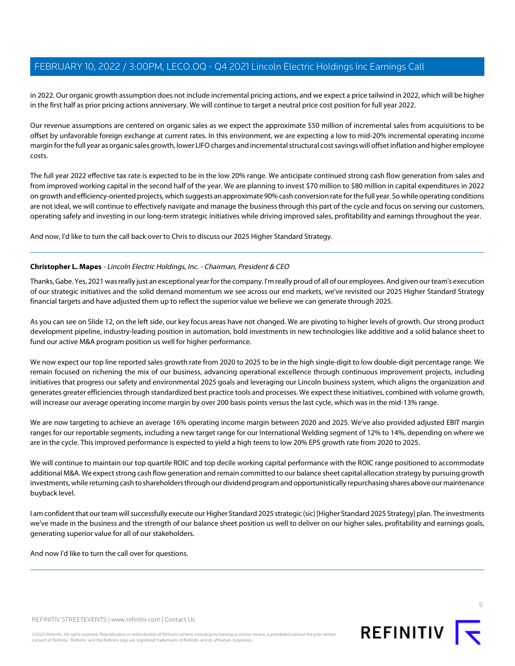in 2022. Our organic growth assumption does not include incremental pricing actions, and we expect a price tailwind in 2022, which will be higher in the first half as prior pricing actions anniversary. We will continue to target a neutral price cost position for full year 2022.

Our revenue assumptions are centered on organic sales as we expect the approximate \$50 million of incremental sales from acquisitions to be offset by unfavorable foreign exchange at current rates. In this environment, we are expecting a low to mid-20% incremental operating income margin for the full year as organic sales growth, lower LIFO charges and incremental structural cost savings will offset inflation and higher employee costs.

The full year 2022 effective tax rate is expected to be in the low 20% range. We anticipate continued strong cash flow generation from sales and from improved working capital in the second half of the year. We are planning to invest \$70 million to \$80 million in capital expenditures in 2022 on growth and efficiency-oriented projects, which suggests an approximate 90% cash conversion rate for the full year. So while operating conditions are not ideal, we will continue to effectively navigate and manage the business through this part of the cycle and focus on serving our customers, operating safely and investing in our long-term strategic initiatives while driving improved sales, profitability and earnings throughout the year.

And now, I'd like to turn the call back over to Chris to discuss our 2025 Higher Standard Strategy.

## **Christopher L. Mapes** - Lincoln Electric Holdings, Inc. - Chairman, President & CEO

Thanks, Gabe. Yes, 2021 was really just an exceptional year for the company. I'm really proud of all of our employees. And given our team's execution of our strategic initiatives and the solid demand momentum we see across our end markets, we've revisited our 2025 Higher Standard Strategy financial targets and have adjusted them up to reflect the superior value we believe we can generate through 2025.

As you can see on Slide 12, on the left side, our key focus areas have not changed. We are pivoting to higher levels of growth. Our strong product development pipeline, industry-leading position in automation, bold investments in new technologies like additive and a solid balance sheet to fund our active M&A program position us well for higher performance.

We now expect our top line reported sales growth rate from 2020 to 2025 to be in the high single-digit to low double-digit percentage range. We remain focused on richening the mix of our business, advancing operational excellence through continuous improvement projects, including initiatives that progress our safety and environmental 2025 goals and leveraging our Lincoln business system, which aligns the organization and generates greater efficiencies through standardized best practice tools and processes. We expect these initiatives, combined with volume growth, will increase our average operating income margin by over 200 basis points versus the last cycle, which was in the mid-13% range.

We are now targeting to achieve an average 16% operating income margin between 2020 and 2025. We've also provided adjusted EBIT margin ranges for our reportable segments, including a new target range for our International Welding segment of 12% to 14%, depending on where we are in the cycle. This improved performance is expected to yield a high teens to low 20% EPS growth rate from 2020 to 2025.

We will continue to maintain our top quartile ROIC and top decile working capital performance with the ROIC range positioned to accommodate additional M&A. We expect strong cash flow generation and remain committed to our balance sheet capital allocation strategy by pursuing growth investments, while returning cash to shareholders through our dividend program and opportunistically repurchasing shares above our maintenance buyback level.

I am confident that our team will successfully execute our Higher Standard 2025 strategic (sic) [Higher Standard 2025 Strategy] plan. The investments we've made in the business and the strength of our balance sheet position us well to deliver on our higher sales, profitability and earnings goals, generating superior value for all of our stakeholders.

And now I'd like to turn the call over for questions.

REFINITIV STREETEVENTS | [www.refinitiv.com](https://www.refinitiv.com/) | [Contact Us](https://www.refinitiv.com/en/contact-us)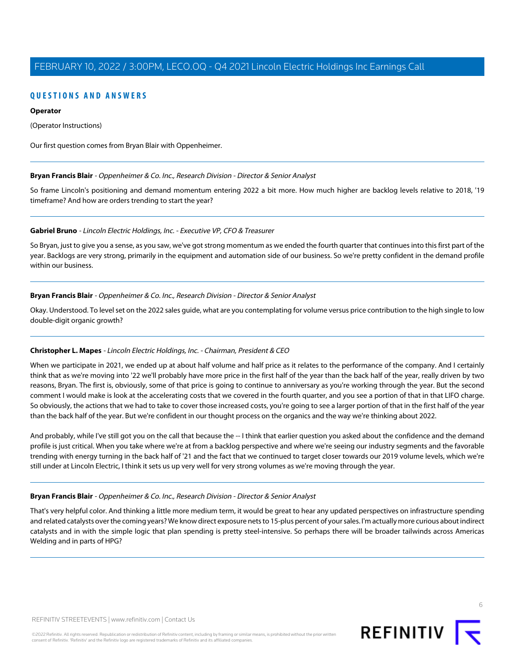## **QUESTIONS AND ANSWERS**

## **Operator**

(Operator Instructions)

<span id="page-5-0"></span>Our first question comes from Bryan Blair with Oppenheimer.

## **Bryan Francis Blair** - Oppenheimer & Co. Inc., Research Division - Director & Senior Analyst

So frame Lincoln's positioning and demand momentum entering 2022 a bit more. How much higher are backlog levels relative to 2018, '19 timeframe? And how are orders trending to start the year?

## **Gabriel Bruno** - Lincoln Electric Holdings, Inc. - Executive VP, CFO & Treasurer

So Bryan, just to give you a sense, as you saw, we've got strong momentum as we ended the fourth quarter that continues into this first part of the year. Backlogs are very strong, primarily in the equipment and automation side of our business. So we're pretty confident in the demand profile within our business.

## **Bryan Francis Blair** - Oppenheimer & Co. Inc., Research Division - Director & Senior Analyst

Okay. Understood. To level set on the 2022 sales guide, what are you contemplating for volume versus price contribution to the high single to low double-digit organic growth?

## **Christopher L. Mapes** - Lincoln Electric Holdings, Inc. - Chairman, President & CEO

When we participate in 2021, we ended up at about half volume and half price as it relates to the performance of the company. And I certainly think that as we're moving into '22 we'll probably have more price in the first half of the year than the back half of the year, really driven by two reasons, Bryan. The first is, obviously, some of that price is going to continue to anniversary as you're working through the year. But the second comment I would make is look at the accelerating costs that we covered in the fourth quarter, and you see a portion of that in that LIFO charge. So obviously, the actions that we had to take to cover those increased costs, you're going to see a larger portion of that in the first half of the year than the back half of the year. But we're confident in our thought process on the organics and the way we're thinking about 2022.

And probably, while I've still got you on the call that because the -- I think that earlier question you asked about the confidence and the demand profile is just critical. When you take where we're at from a backlog perspective and where we're seeing our industry segments and the favorable trending with energy turning in the back half of '21 and the fact that we continued to target closer towards our 2019 volume levels, which we're still under at Lincoln Electric, I think it sets us up very well for very strong volumes as we're moving through the year.

## **Bryan Francis Blair** - Oppenheimer & Co. Inc., Research Division - Director & Senior Analyst

That's very helpful color. And thinking a little more medium term, it would be great to hear any updated perspectives on infrastructure spending and related catalysts over the coming years? We know direct exposure nets to 15-plus percent of your sales. I'm actually more curious about indirect catalysts and in with the simple logic that plan spending is pretty steel-intensive. So perhaps there will be broader tailwinds across Americas Welding and in parts of HPG?

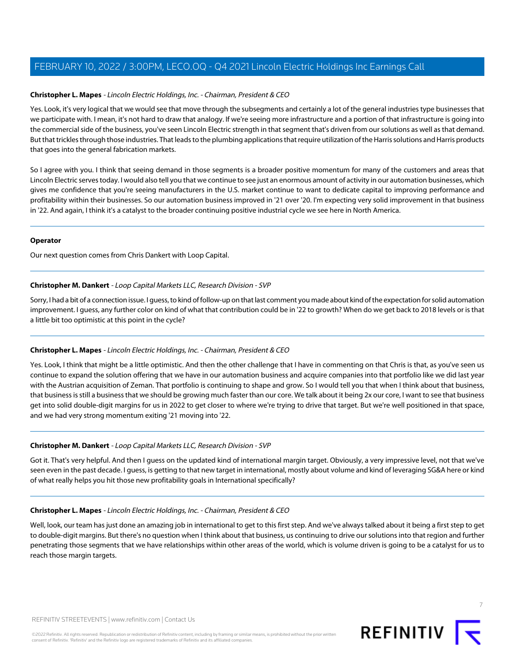## **Christopher L. Mapes** - Lincoln Electric Holdings, Inc. - Chairman, President & CEO

Yes. Look, it's very logical that we would see that move through the subsegments and certainly a lot of the general industries type businesses that we participate with. I mean, it's not hard to draw that analogy. If we're seeing more infrastructure and a portion of that infrastructure is going into the commercial side of the business, you've seen Lincoln Electric strength in that segment that's driven from our solutions as well as that demand. But that trickles through those industries. That leads to the plumbing applications that require utilization of the Harris solutions and Harris products that goes into the general fabrication markets.

So I agree with you. I think that seeing demand in those segments is a broader positive momentum for many of the customers and areas that Lincoln Electric serves today. I would also tell you that we continue to see just an enormous amount of activity in our automation businesses, which gives me confidence that you're seeing manufacturers in the U.S. market continue to want to dedicate capital to improving performance and profitability within their businesses. So our automation business improved in '21 over '20. I'm expecting very solid improvement in that business in '22. And again, I think it's a catalyst to the broader continuing positive industrial cycle we see here in North America.

## **Operator**

<span id="page-6-0"></span>Our next question comes from Chris Dankert with Loop Capital.

## **Christopher M. Dankert** - Loop Capital Markets LLC, Research Division - SVP

Sorry, I had a bit of a connection issue. I guess, to kind of follow-up on that last comment you made about kind of the expectation for solid automation improvement. I guess, any further color on kind of what that contribution could be in '22 to growth? When do we get back to 2018 levels or is that a little bit too optimistic at this point in the cycle?

## **Christopher L. Mapes** - Lincoln Electric Holdings, Inc. - Chairman, President & CEO

Yes. Look, I think that might be a little optimistic. And then the other challenge that I have in commenting on that Chris is that, as you've seen us continue to expand the solution offering that we have in our automation business and acquire companies into that portfolio like we did last year with the Austrian acquisition of Zeman. That portfolio is continuing to shape and grow. So I would tell you that when I think about that business, that business is still a business that we should be growing much faster than our core. We talk about it being 2x our core, I want to see that business get into solid double-digit margins for us in 2022 to get closer to where we're trying to drive that target. But we're well positioned in that space, and we had very strong momentum exiting '21 moving into '22.

## **Christopher M. Dankert** - Loop Capital Markets LLC, Research Division - SVP

Got it. That's very helpful. And then I guess on the updated kind of international margin target. Obviously, a very impressive level, not that we've seen even in the past decade. I guess, is getting to that new target in international, mostly about volume and kind of leveraging SG&A here or kind of what really helps you hit those new profitability goals in International specifically?

## **Christopher L. Mapes** - Lincoln Electric Holdings, Inc. - Chairman, President & CEO

Well, look, our team has just done an amazing job in international to get to this first step. And we've always talked about it being a first step to get to double-digit margins. But there's no question when I think about that business, us continuing to drive our solutions into that region and further penetrating those segments that we have relationships within other areas of the world, which is volume driven is going to be a catalyst for us to reach those margin targets.



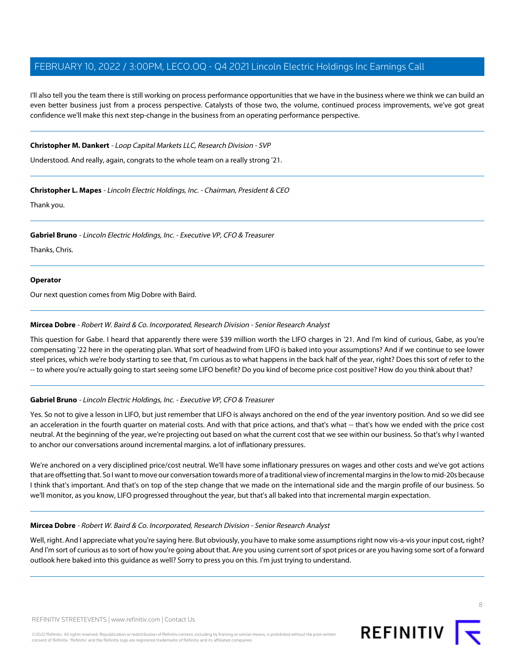I'll also tell you the team there is still working on process performance opportunities that we have in the business where we think we can build an even better business just from a process perspective. Catalysts of those two, the volume, continued process improvements, we've got great confidence we'll make this next step-change in the business from an operating performance perspective.

## **Christopher M. Dankert** - Loop Capital Markets LLC, Research Division - SVP

Understood. And really, again, congrats to the whole team on a really strong '21.

## **Christopher L. Mapes** - Lincoln Electric Holdings, Inc. - Chairman, President & CEO

Thank you.

## **Gabriel Bruno** - Lincoln Electric Holdings, Inc. - Executive VP, CFO & Treasurer

Thanks, Chris.

## **Operator**

<span id="page-7-0"></span>Our next question comes from Mig Dobre with Baird.

## **Mircea Dobre** - Robert W. Baird & Co. Incorporated, Research Division - Senior Research Analyst

This question for Gabe. I heard that apparently there were \$39 million worth the LIFO charges in '21. And I'm kind of curious, Gabe, as you're compensating '22 here in the operating plan. What sort of headwind from LIFO is baked into your assumptions? And if we continue to see lower steel prices, which we're body starting to see that, I'm curious as to what happens in the back half of the year, right? Does this sort of refer to the -- to where you're actually going to start seeing some LIFO benefit? Do you kind of become price cost positive? How do you think about that?

## **Gabriel Bruno** - Lincoln Electric Holdings, Inc. - Executive VP, CFO & Treasurer

Yes. So not to give a lesson in LIFO, but just remember that LIFO is always anchored on the end of the year inventory position. And so we did see an acceleration in the fourth quarter on material costs. And with that price actions, and that's what -- that's how we ended with the price cost neutral. At the beginning of the year, we're projecting out based on what the current cost that we see within our business. So that's why I wanted to anchor our conversations around incremental margins. a lot of inflationary pressures.

We're anchored on a very disciplined price/cost neutral. We'll have some inflationary pressures on wages and other costs and we've got actions that are offsetting that. So I want to move our conversation towards more of a traditional view of incremental margins in the low to mid-20s because I think that's important. And that's on top of the step change that we made on the international side and the margin profile of our business. So we'll monitor, as you know, LIFO progressed throughout the year, but that's all baked into that incremental margin expectation.

## **Mircea Dobre** - Robert W. Baird & Co. Incorporated, Research Division - Senior Research Analyst

Well, right. And I appreciate what you're saying here. But obviously, you have to make some assumptions right now vis-a-vis your input cost, right? And I'm sort of curious as to sort of how you're going about that. Are you using current sort of spot prices or are you having some sort of a forward outlook here baked into this guidance as well? Sorry to press you on this. I'm just trying to understand.

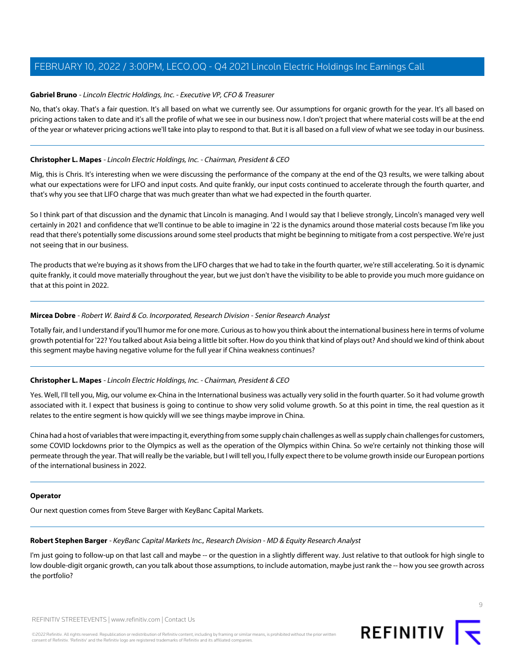## **Gabriel Bruno** - Lincoln Electric Holdings, Inc. - Executive VP, CFO & Treasurer

No, that's okay. That's a fair question. It's all based on what we currently see. Our assumptions for organic growth for the year. It's all based on pricing actions taken to date and it's all the profile of what we see in our business now. I don't project that where material costs will be at the end of the year or whatever pricing actions we'll take into play to respond to that. But it is all based on a full view of what we see today in our business.

## **Christopher L. Mapes** - Lincoln Electric Holdings, Inc. - Chairman, President & CEO

Mig, this is Chris. It's interesting when we were discussing the performance of the company at the end of the Q3 results, we were talking about what our expectations were for LIFO and input costs. And quite frankly, our input costs continued to accelerate through the fourth quarter, and that's why you see that LIFO charge that was much greater than what we had expected in the fourth quarter.

So I think part of that discussion and the dynamic that Lincoln is managing. And I would say that I believe strongly, Lincoln's managed very well certainly in 2021 and confidence that we'll continue to be able to imagine in '22 is the dynamics around those material costs because I'm like you read that there's potentially some discussions around some steel products that might be beginning to mitigate from a cost perspective. We're just not seeing that in our business.

The products that we're buying as it shows from the LIFO charges that we had to take in the fourth quarter, we're still accelerating. So it is dynamic quite frankly, it could move materially throughout the year, but we just don't have the visibility to be able to provide you much more guidance on that at this point in 2022.

## **Mircea Dobre** - Robert W. Baird & Co. Incorporated, Research Division - Senior Research Analyst

Totally fair, and I understand if you'll humor me for one more. Curious as to how you think about the international business here in terms of volume growth potential for '22? You talked about Asia being a little bit softer. How do you think that kind of plays out? And should we kind of think about this segment maybe having negative volume for the full year if China weakness continues?

## **Christopher L. Mapes** - Lincoln Electric Holdings, Inc. - Chairman, President & CEO

Yes. Well, I'll tell you, Mig, our volume ex-China in the International business was actually very solid in the fourth quarter. So it had volume growth associated with it. I expect that business is going to continue to show very solid volume growth. So at this point in time, the real question as it relates to the entire segment is how quickly will we see things maybe improve in China.

China had a host of variables that were impacting it, everything from some supply chain challenges as well as supply chain challenges for customers, some COVID lockdowns prior to the Olympics as well as the operation of the Olympics within China. So we're certainly not thinking those will permeate through the year. That will really be the variable, but I will tell you, I fully expect there to be volume growth inside our European portions of the international business in 2022.

## <span id="page-8-0"></span>**Operator**

Our next question comes from Steve Barger with KeyBanc Capital Markets.

## **Robert Stephen Barger** - KeyBanc Capital Markets Inc., Research Division - MD & Equity Research Analyst

I'm just going to follow-up on that last call and maybe -- or the question in a slightly different way. Just relative to that outlook for high single to low double-digit organic growth, can you talk about those assumptions, to include automation, maybe just rank the -- how you see growth across the portfolio?

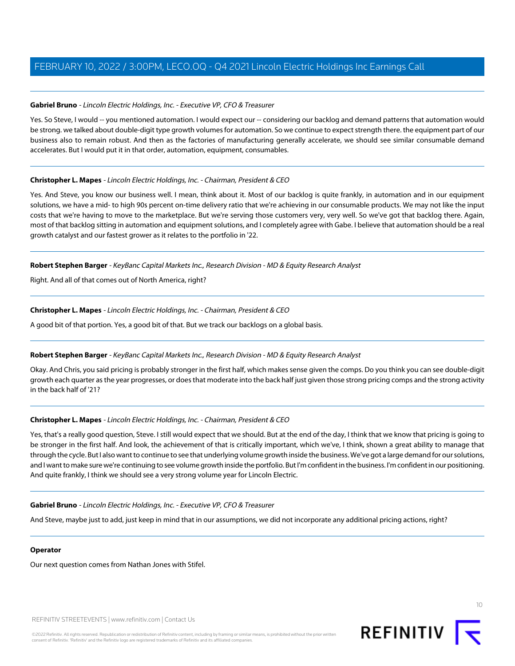## **Gabriel Bruno** - Lincoln Electric Holdings, Inc. - Executive VP, CFO & Treasurer

Yes. So Steve, I would -- you mentioned automation. I would expect our -- considering our backlog and demand patterns that automation would be strong. we talked about double-digit type growth volumes for automation. So we continue to expect strength there. the equipment part of our business also to remain robust. And then as the factories of manufacturing generally accelerate, we should see similar consumable demand accelerates. But I would put it in that order, automation, equipment, consumables.

## **Christopher L. Mapes** - Lincoln Electric Holdings, Inc. - Chairman, President & CEO

Yes. And Steve, you know our business well. I mean, think about it. Most of our backlog is quite frankly, in automation and in our equipment solutions, we have a mid- to high 90s percent on-time delivery ratio that we're achieving in our consumable products. We may not like the input costs that we're having to move to the marketplace. But we're serving those customers very, very well. So we've got that backlog there. Again, most of that backlog sitting in automation and equipment solutions, and I completely agree with Gabe. I believe that automation should be a real growth catalyst and our fastest grower as it relates to the portfolio in '22.

## **Robert Stephen Barger** - KeyBanc Capital Markets Inc., Research Division - MD & Equity Research Analyst

Right. And all of that comes out of North America, right?

## **Christopher L. Mapes** - Lincoln Electric Holdings, Inc. - Chairman, President & CEO

A good bit of that portion. Yes, a good bit of that. But we track our backlogs on a global basis.

## **Robert Stephen Barger** - KeyBanc Capital Markets Inc., Research Division - MD & Equity Research Analyst

Okay. And Chris, you said pricing is probably stronger in the first half, which makes sense given the comps. Do you think you can see double-digit growth each quarter as the year progresses, or does that moderate into the back half just given those strong pricing comps and the strong activity in the back half of '21?

## **Christopher L. Mapes** - Lincoln Electric Holdings, Inc. - Chairman, President & CEO

Yes, that's a really good question, Steve. I still would expect that we should. But at the end of the day, I think that we know that pricing is going to be stronger in the first half. And look, the achievement of that is critically important, which we've, I think, shown a great ability to manage that through the cycle. But I also want to continue to see that underlying volume growth inside the business. We've got a large demand for our solutions, and I want to make sure we're continuing to see volume growth inside the portfolio. But I'm confident in the business. I'm confident in our positioning. And quite frankly, I think we should see a very strong volume year for Lincoln Electric.

## **Gabriel Bruno** - Lincoln Electric Holdings, Inc. - Executive VP, CFO & Treasurer

And Steve, maybe just to add, just keep in mind that in our assumptions, we did not incorporate any additional pricing actions, right?

## **Operator**

Our next question comes from Nathan Jones with Stifel.

REFINITIV STREETEVENTS | [www.refinitiv.com](https://www.refinitiv.com/) | [Contact Us](https://www.refinitiv.com/en/contact-us)

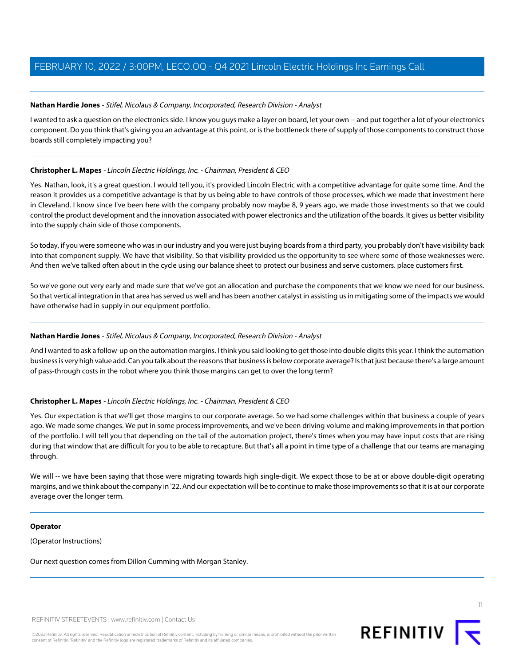## <span id="page-10-0"></span>**Nathan Hardie Jones** - Stifel, Nicolaus & Company, Incorporated, Research Division - Analyst

I wanted to ask a question on the electronics side. I know you guys make a layer on board, let your own -- and put together a lot of your electronics component. Do you think that's giving you an advantage at this point, or is the bottleneck there of supply of those components to construct those boards still completely impacting you?

## **Christopher L. Mapes** - Lincoln Electric Holdings, Inc. - Chairman, President & CEO

Yes. Nathan, look, it's a great question. I would tell you, it's provided Lincoln Electric with a competitive advantage for quite some time. And the reason it provides us a competitive advantage is that by us being able to have controls of those processes, which we made that investment here in Cleveland. I know since I've been here with the company probably now maybe 8, 9 years ago, we made those investments so that we could control the product development and the innovation associated with power electronics and the utilization of the boards. It gives us better visibility into the supply chain side of those components.

So today, if you were someone who was in our industry and you were just buying boards from a third party, you probably don't have visibility back into that component supply. We have that visibility. So that visibility provided us the opportunity to see where some of those weaknesses were. And then we've talked often about in the cycle using our balance sheet to protect our business and serve customers. place customers first.

So we've gone out very early and made sure that we've got an allocation and purchase the components that we know we need for our business. So that vertical integration in that area has served us well and has been another catalyst in assisting us in mitigating some of the impacts we would have otherwise had in supply in our equipment portfolio.

## **Nathan Hardie Jones** - Stifel, Nicolaus & Company, Incorporated, Research Division - Analyst

And I wanted to ask a follow-up on the automation margins. I think you said looking to get those into double digits this year. I think the automation business is very high value add. Can you talk about the reasons that business is below corporate average? Is that just because there's a large amount of pass-through costs in the robot where you think those margins can get to over the long term?

## **Christopher L. Mapes** - Lincoln Electric Holdings, Inc. - Chairman, President & CEO

Yes. Our expectation is that we'll get those margins to our corporate average. So we had some challenges within that business a couple of years ago. We made some changes. We put in some process improvements, and we've been driving volume and making improvements in that portion of the portfolio. I will tell you that depending on the tail of the automation project, there's times when you may have input costs that are rising during that window that are difficult for you to be able to recapture. But that's all a point in time type of a challenge that our teams are managing through.

We will -- we have been saying that those were migrating towards high single-digit. We expect those to be at or above double-digit operating margins, and we think about the company in '22. And our expectation will be to continue to make those improvements so that it is at our corporate average over the longer term.

## **Operator**

(Operator Instructions)

Our next question comes from Dillon Cumming with Morgan Stanley.



©2022 Refinitiv. All rights reserved. Republication or redistribution of Refinitiv content, including by framing or similar means, is prohibited without the prior written consent of Refinitiv. 'Refinitiv' and the Refinitiv logo are registered trademarks of Refinitiv and its affiliated companies.

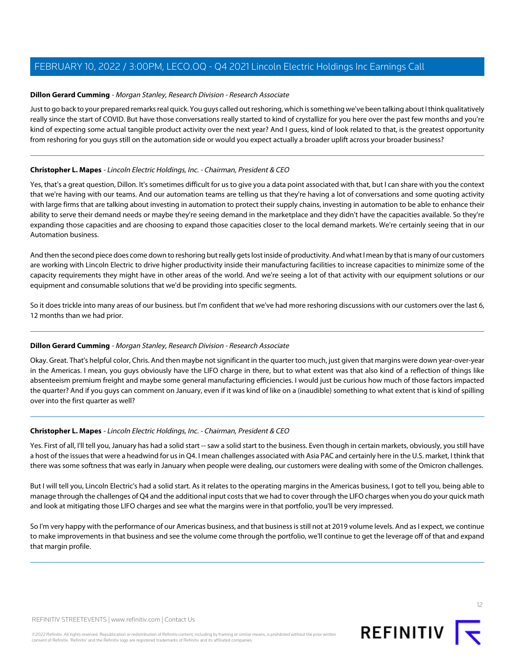## <span id="page-11-0"></span>**Dillon Gerard Cumming** - Morgan Stanley, Research Division - Research Associate

Just to go back to your prepared remarks real quick. You guys called out reshoring, which is something we've been talking about I think qualitatively really since the start of COVID. But have those conversations really started to kind of crystallize for you here over the past few months and you're kind of expecting some actual tangible product activity over the next year? And I guess, kind of look related to that, is the greatest opportunity from reshoring for you guys still on the automation side or would you expect actually a broader uplift across your broader business?

## **Christopher L. Mapes** - Lincoln Electric Holdings, Inc. - Chairman, President & CEO

Yes, that's a great question, Dillon. It's sometimes difficult for us to give you a data point associated with that, but I can share with you the context that we're having with our teams. And our automation teams are telling us that they're having a lot of conversations and some quoting activity with large firms that are talking about investing in automation to protect their supply chains, investing in automation to be able to enhance their ability to serve their demand needs or maybe they're seeing demand in the marketplace and they didn't have the capacities available. So they're expanding those capacities and are choosing to expand those capacities closer to the local demand markets. We're certainly seeing that in our Automation business.

And then the second piece does come down to reshoring but really gets lost inside of productivity. And what I mean by that is many of our customers are working with Lincoln Electric to drive higher productivity inside their manufacturing facilities to increase capacities to minimize some of the capacity requirements they might have in other areas of the world. And we're seeing a lot of that activity with our equipment solutions or our equipment and consumable solutions that we'd be providing into specific segments.

So it does trickle into many areas of our business. but I'm confident that we've had more reshoring discussions with our customers over the last 6, 12 months than we had prior.

## **Dillon Gerard Cumming** - Morgan Stanley, Research Division - Research Associate

Okay. Great. That's helpful color, Chris. And then maybe not significant in the quarter too much, just given that margins were down year-over-year in the Americas. I mean, you guys obviously have the LIFO charge in there, but to what extent was that also kind of a reflection of things like absenteeism premium freight and maybe some general manufacturing efficiencies. I would just be curious how much of those factors impacted the quarter? And if you guys can comment on January, even if it was kind of like on a (inaudible) something to what extent that is kind of spilling over into the first quarter as well?

## **Christopher L. Mapes** - Lincoln Electric Holdings, Inc. - Chairman, President & CEO

Yes. First of all, I'll tell you, January has had a solid start -- saw a solid start to the business. Even though in certain markets, obviously, you still have a host of the issues that were a headwind for us in Q4. I mean challenges associated with Asia PAC and certainly here in the U.S. market, I think that there was some softness that was early in January when people were dealing, our customers were dealing with some of the Omicron challenges.

But I will tell you, Lincoln Electric's had a solid start. As it relates to the operating margins in the Americas business, I got to tell you, being able to manage through the challenges of Q4 and the additional input costs that we had to cover through the LIFO charges when you do your quick math and look at mitigating those LIFO charges and see what the margins were in that portfolio, you'll be very impressed.

So I'm very happy with the performance of our Americas business, and that business is still not at 2019 volume levels. And as I expect, we continue to make improvements in that business and see the volume come through the portfolio, we'll continue to get the leverage off of that and expand that margin profile.

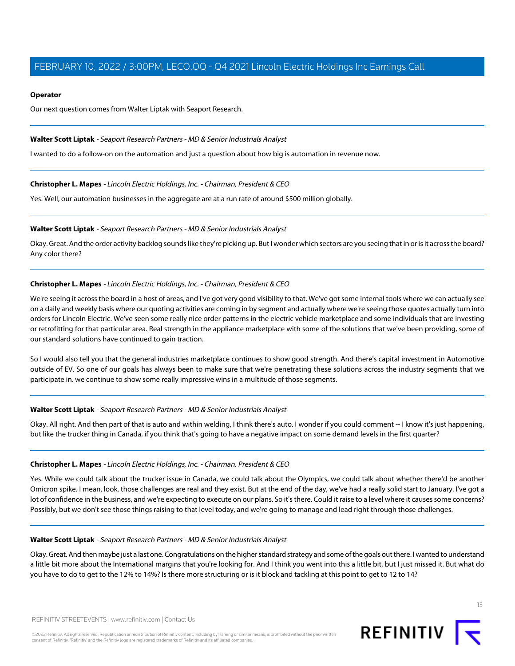## **Operator**

Our next question comes from Walter Liptak with Seaport Research.

## <span id="page-12-0"></span>**Walter Scott Liptak** - Seaport Research Partners - MD & Senior Industrials Analyst

I wanted to do a follow-on on the automation and just a question about how big is automation in revenue now.

## **Christopher L. Mapes** - Lincoln Electric Holdings, Inc. - Chairman, President & CEO

Yes. Well, our automation businesses in the aggregate are at a run rate of around \$500 million globally.

## **Walter Scott Liptak** - Seaport Research Partners - MD & Senior Industrials Analyst

Okay. Great. And the order activity backlog sounds like they're picking up. But I wonder which sectors are you seeing that in or is it across the board? Any color there?

## **Christopher L. Mapes** - Lincoln Electric Holdings, Inc. - Chairman, President & CEO

We're seeing it across the board in a host of areas, and I've got very good visibility to that. We've got some internal tools where we can actually see on a daily and weekly basis where our quoting activities are coming in by segment and actually where we're seeing those quotes actually turn into orders for Lincoln Electric. We've seen some really nice order patterns in the electric vehicle marketplace and some individuals that are investing or retrofitting for that particular area. Real strength in the appliance marketplace with some of the solutions that we've been providing, some of our standard solutions have continued to gain traction.

So I would also tell you that the general industries marketplace continues to show good strength. And there's capital investment in Automotive outside of EV. So one of our goals has always been to make sure that we're penetrating these solutions across the industry segments that we participate in. we continue to show some really impressive wins in a multitude of those segments.

## **Walter Scott Liptak** - Seaport Research Partners - MD & Senior Industrials Analyst

Okay. All right. And then part of that is auto and within welding, I think there's auto. I wonder if you could comment -- I know it's just happening, but like the trucker thing in Canada, if you think that's going to have a negative impact on some demand levels in the first quarter?

## **Christopher L. Mapes** - Lincoln Electric Holdings, Inc. - Chairman, President & CEO

Yes. While we could talk about the trucker issue in Canada, we could talk about the Olympics, we could talk about whether there'd be another Omicron spike. I mean, look, those challenges are real and they exist. But at the end of the day, we've had a really solid start to January. I've got a lot of confidence in the business, and we're expecting to execute on our plans. So it's there. Could it raise to a level where it causes some concerns? Possibly, but we don't see those things raising to that level today, and we're going to manage and lead right through those challenges.

## **Walter Scott Liptak** - Seaport Research Partners - MD & Senior Industrials Analyst

Okay. Great. And then maybe just a last one. Congratulations on the higher standard strategy and some of the goals out there. I wanted to understand a little bit more about the International margins that you're looking for. And I think you went into this a little bit, but I just missed it. But what do you have to do to get to the 12% to 14%? Is there more structuring or is it block and tackling at this point to get to 12 to 14?

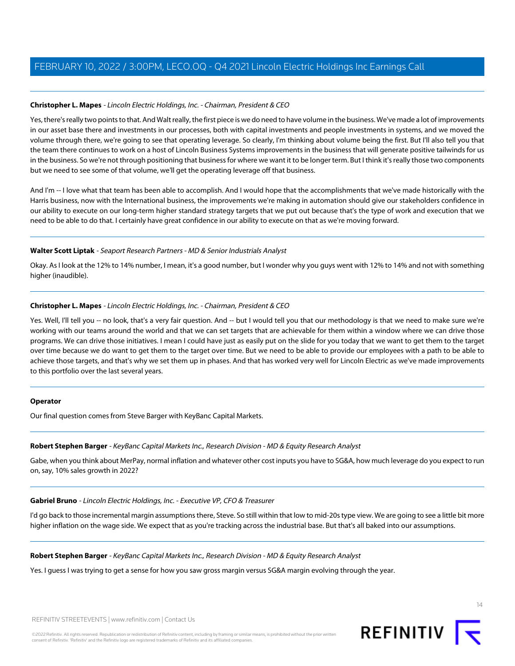## **Christopher L. Mapes** - Lincoln Electric Holdings, Inc. - Chairman, President & CEO

Yes, there's really two points to that. And Walt really, the first piece is we do need to have volume in the business. We've made a lot of improvements in our asset base there and investments in our processes, both with capital investments and people investments in systems, and we moved the volume through there, we're going to see that operating leverage. So clearly, I'm thinking about volume being the first. But I'll also tell you that the team there continues to work on a host of Lincoln Business Systems improvements in the business that will generate positive tailwinds for us in the business. So we're not through positioning that business for where we want it to be longer term. But I think it's really those two components but we need to see some of that volume, we'll get the operating leverage off that business.

And I'm -- I love what that team has been able to accomplish. And I would hope that the accomplishments that we've made historically with the Harris business, now with the International business, the improvements we're making in automation should give our stakeholders confidence in our ability to execute on our long-term higher standard strategy targets that we put out because that's the type of work and execution that we need to be able to do that. I certainly have great confidence in our ability to execute on that as we're moving forward.

## **Walter Scott Liptak** - Seaport Research Partners - MD & Senior Industrials Analyst

Okay. As I look at the 12% to 14% number, I mean, it's a good number, but I wonder why you guys went with 12% to 14% and not with something higher (inaudible).

## **Christopher L. Mapes** - Lincoln Electric Holdings, Inc. - Chairman, President & CEO

Yes. Well, I'll tell you -- no look, that's a very fair question. And -- but I would tell you that our methodology is that we need to make sure we're working with our teams around the world and that we can set targets that are achievable for them within a window where we can drive those programs. We can drive those initiatives. I mean I could have just as easily put on the slide for you today that we want to get them to the target over time because we do want to get them to the target over time. But we need to be able to provide our employees with a path to be able to achieve those targets, and that's why we set them up in phases. And that has worked very well for Lincoln Electric as we've made improvements to this portfolio over the last several years.

## **Operator**

Our final question comes from Steve Barger with KeyBanc Capital Markets.

## **Robert Stephen Barger** - KeyBanc Capital Markets Inc., Research Division - MD & Equity Research Analyst

Gabe, when you think about MerPay, normal inflation and whatever other cost inputs you have to SG&A, how much leverage do you expect to run on, say, 10% sales growth in 2022?

## **Gabriel Bruno** - Lincoln Electric Holdings, Inc. - Executive VP, CFO & Treasurer

I'd go back to those incremental margin assumptions there, Steve. So still within that low to mid-20s type view. We are going to see a little bit more higher inflation on the wage side. We expect that as you're tracking across the industrial base. But that's all baked into our assumptions.

## **Robert Stephen Barger** - KeyBanc Capital Markets Inc., Research Division - MD & Equity Research Analyst

Yes. I guess I was trying to get a sense for how you saw gross margin versus SG&A margin evolving through the year.



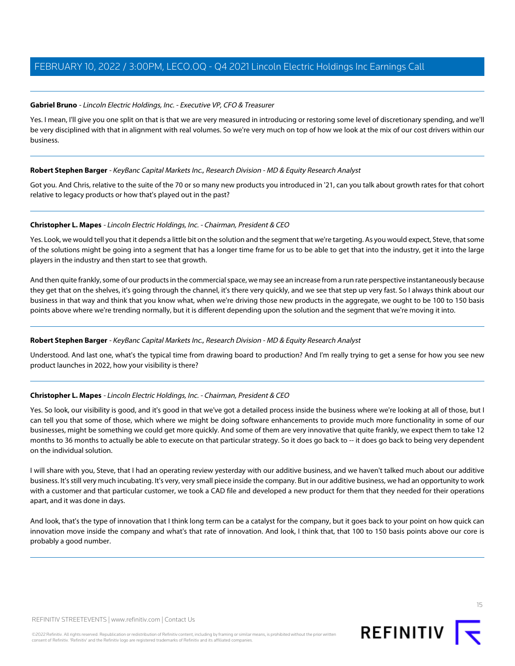## **Gabriel Bruno** - Lincoln Electric Holdings, Inc. - Executive VP, CFO & Treasurer

Yes. I mean, I'll give you one split on that is that we are very measured in introducing or restoring some level of discretionary spending, and we'll be very disciplined with that in alignment with real volumes. So we're very much on top of how we look at the mix of our cost drivers within our business.

## **Robert Stephen Barger** - KeyBanc Capital Markets Inc., Research Division - MD & Equity Research Analyst

Got you. And Chris, relative to the suite of the 70 or so many new products you introduced in '21, can you talk about growth rates for that cohort relative to legacy products or how that's played out in the past?

## **Christopher L. Mapes** - Lincoln Electric Holdings, Inc. - Chairman, President & CEO

Yes. Look, we would tell you that it depends a little bit on the solution and the segment that we're targeting. As you would expect, Steve, that some of the solutions might be going into a segment that has a longer time frame for us to be able to get that into the industry, get it into the large players in the industry and then start to see that growth.

And then quite frankly, some of our products in the commercial space, we may see an increase from a run rate perspective instantaneously because they get that on the shelves, it's going through the channel, it's there very quickly, and we see that step up very fast. So I always think about our business in that way and think that you know what, when we're driving those new products in the aggregate, we ought to be 100 to 150 basis points above where we're trending normally, but it is different depending upon the solution and the segment that we're moving it into.

## **Robert Stephen Barger** - KeyBanc Capital Markets Inc., Research Division - MD & Equity Research Analyst

Understood. And last one, what's the typical time from drawing board to production? And I'm really trying to get a sense for how you see new product launches in 2022, how your visibility is there?

## **Christopher L. Mapes** - Lincoln Electric Holdings, Inc. - Chairman, President & CEO

Yes. So look, our visibility is good, and it's good in that we've got a detailed process inside the business where we're looking at all of those, but I can tell you that some of those, which where we might be doing software enhancements to provide much more functionality in some of our businesses, might be something we could get more quickly. And some of them are very innovative that quite frankly, we expect them to take 12 months to 36 months to actually be able to execute on that particular strategy. So it does go back to -- it does go back to being very dependent on the individual solution.

I will share with you, Steve, that I had an operating review yesterday with our additive business, and we haven't talked much about our additive business. It's still very much incubating. It's very, very small piece inside the company. But in our additive business, we had an opportunity to work with a customer and that particular customer, we took a CAD file and developed a new product for them that they needed for their operations apart, and it was done in days.

And look, that's the type of innovation that I think long term can be a catalyst for the company, but it goes back to your point on how quick can innovation move inside the company and what's that rate of innovation. And look, I think that, that 100 to 150 basis points above our core is probably a good number.



15